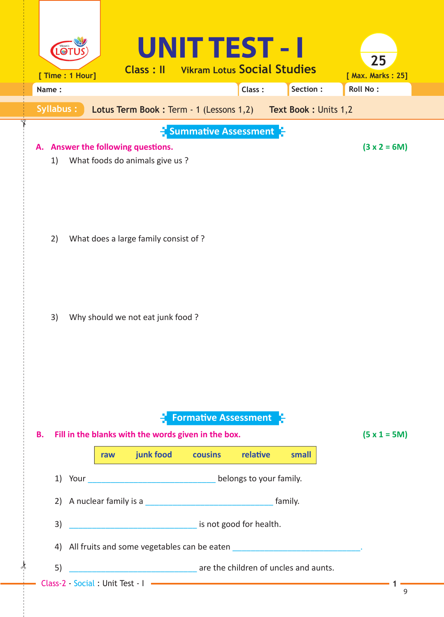| [ Time : 1 Hour] |                                                                             | Class: II                                                          | UNIT TEST - I<br><b>Vikram Lotus Social Studies</b> |          |                                                              | 25<br>[ Max. Marks: 25] |  |  |  |
|------------------|-----------------------------------------------------------------------------|--------------------------------------------------------------------|-----------------------------------------------------|----------|--------------------------------------------------------------|-------------------------|--|--|--|
| Name:            |                                                                             |                                                                    |                                                     | Class:   | Section:                                                     | <b>Roll No:</b>         |  |  |  |
| Syllabus:        |                                                                             |                                                                    |                                                     |          | Lotus Term Book: Term - 1 (Lessons 1,2) Text Book: Units 1,2 |                         |  |  |  |
| А.<br>1)         |                                                                             | Answer the following questions.<br>What foods do animals give us ? | $\frac{1}{2}$ Summative Assessment $\frac{1}{2}$    |          |                                                              | $(3 x 2 = 6M)$          |  |  |  |
| 2)               |                                                                             | What does a large family consist of?                               |                                                     |          |                                                              |                         |  |  |  |
| 3)               |                                                                             | Why should we not eat junk food ?                                  |                                                     |          |                                                              |                         |  |  |  |
| В.               | raw                                                                         | Fill in the blanks with the words given in the box.<br>junk food   | <b>Formative Assessment</b><br>cousins              | relative | small                                                        | $(5 x 1 = 5M)$          |  |  |  |
|                  |                                                                             |                                                                    |                                                     |          |                                                              |                         |  |  |  |
|                  | 2) A nuclear family is a                                                    |                                                                    |                                                     |          |                                                              |                         |  |  |  |
| 3)               | is not good for health.                                                     |                                                                    |                                                     |          |                                                              |                         |  |  |  |
| 4)               | All fruits and some vegetables can be eaten ______________________________. |                                                                    |                                                     |          |                                                              |                         |  |  |  |
| 5)               | are the children of uncles and aunts.                                       |                                                                    |                                                     |          |                                                              |                         |  |  |  |
|                  |                                                                             | Class-2 - Social : Unit Test - I                                   |                                                     |          |                                                              | 9                       |  |  |  |